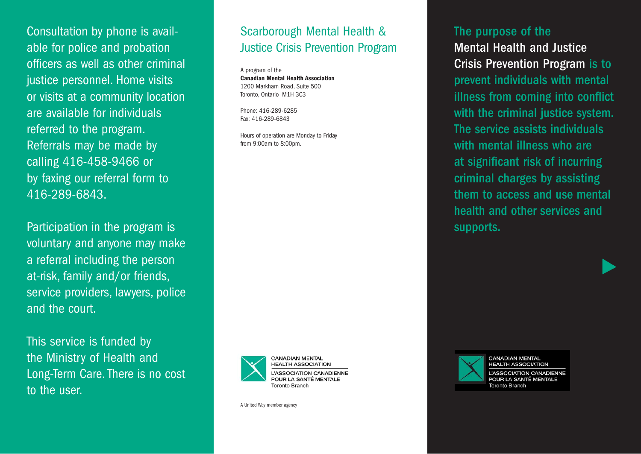Consultation by phone is available for police and probation officers as well as other criminal justice personnel. Home visits or visits at a community location are available for individuals referred to the program. Referrals may be made by calling 416-458-9466 or by faxing our referral form to 416-289-6843.

Participation in the program is voluntary and anyone may make a referral including the person at-risk, family and/or friends, service providers, lawyers, police and the court.

This service is funded by the Ministry of Health and Long-Term Care. There is no cost to the user.

## Scarborough Mental Health & Justice Crisis Prevention Program

A program of the **Canadian Mental Health Association** 1200 Markham Road, Suite 500 Toronto, Ontario M1H 3C3

Phone: 416-289-6285 Fax: 416-289-6843

Hours of operation are Monday to Friday from 9:00am to 8:00pm.



A United Way member agency

### The purpose of the

Mental Health and Justice Crisis Prevention Program is to prevent individuals with mental illness from coming into conflict with the criminal justice system. The service assists individuals with mental illness who are at significant risk of incurring criminal charges by assisting them to access and use mental health and other services and supports.



**CANADIAN MENTAL HEALTH ASSOCIATION L'ASSOCIATION CANADIENNE** POUR LA SANTÉ MENTALE **Toronto Branch**